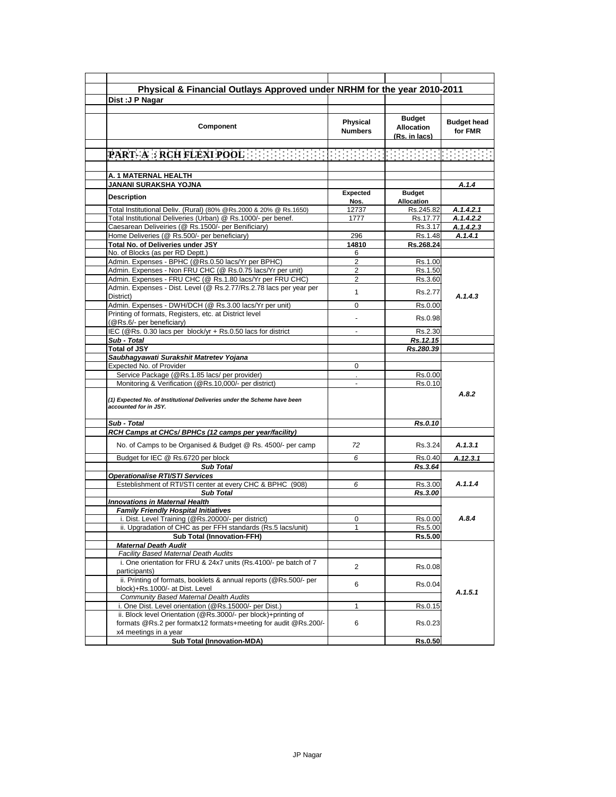| Physical & Financial Outlays Approved under NRHM for the year 2010-2011                                  |                            |                                                     |                               |
|----------------------------------------------------------------------------------------------------------|----------------------------|-----------------------------------------------------|-------------------------------|
| Dist: J P Nagar                                                                                          |                            |                                                     |                               |
|                                                                                                          |                            |                                                     |                               |
| <b>Component</b>                                                                                         | Physical<br><b>Numbers</b> | <b>Budget</b><br><b>Allocation</b><br>(Rs. in lacs) | <b>Budget head</b><br>for FMR |
|                                                                                                          |                            |                                                     |                               |
| <b>PART-A RECHFLEXIPOOLES ENERGY ENERGY ENERGY ENERGY ENERGY</b>                                         |                            |                                                     |                               |
|                                                                                                          |                            |                                                     |                               |
| A. 1 MATERNAL HEALTH                                                                                     |                            |                                                     |                               |
| JANANI SURAKSHA YOJNA                                                                                    |                            |                                                     | A.1.4                         |
| <b>Description</b>                                                                                       | <b>Expected</b><br>Nos.    | <b>Budget</b><br><b>Allocation</b>                  |                               |
| Total Institutional Deliv. (Rural) (80% @Rs.2000 & 20% @ Rs.1650)                                        | 12737                      | Rs.245.82                                           | A.1.4.2.1                     |
| Total Institutional Deliveries (Urban) @ Rs.1000/- per benef.                                            | 1777                       | Rs.17.77                                            | A.1.4.2.2                     |
| Caesarean Deliveiries (@ Rs.1500/- per Benificiary)                                                      |                            | Rs.3.17                                             | A.1.4.2.3                     |
| Home Deliveries (@ Rs.500/- per beneficiary)                                                             | 296                        | Rs.1.48                                             | A.1.4.1                       |
| Total No. of Deliveries under JSY                                                                        | 14810                      | Rs.268.24                                           |                               |
| No. of Blocks (as per RD Deptt.)                                                                         | 6                          |                                                     |                               |
| Admin. Expenses - BPHC (@Rs.0.50 lacs/Yr per BPHC)                                                       | 2                          | Rs.1.00                                             |                               |
| Admin. Expenses - Non FRU CHC (@ Rs.0.75 lacs/Yr per unit)                                               | 2                          | Rs.1.50                                             |                               |
| Admin. Expenses - FRU CHC (@ Rs.1.80 lacs/Yr per FRU CHC)                                                | $\overline{2}$             | Rs.3.60                                             |                               |
| Admin. Expenses - Dist. Level (@ Rs.2.77/Rs.2.78 lacs per year per<br>District)                          | $\mathbf{1}$               | Rs.2.77                                             | A.1.4.3                       |
| Admin. Expenses - DWH/DCH (@ Rs.3.00 lacs/Yr per unit)                                                   | $\Omega$                   | Rs.0.00                                             |                               |
| Printing of formats, Registers, etc. at District level                                                   |                            |                                                     |                               |
| (@Rs.6/- per beneficiary)                                                                                |                            | Rs 0.98                                             |                               |
| IEC (@Rs. 0.30 lacs per block/yr + Rs.0.50 lacs for district                                             |                            | Rs.2.30                                             |                               |
| Sub - Total                                                                                              |                            | Rs.12.15                                            |                               |
| <b>Total of JSY</b>                                                                                      |                            | Rs.280.39                                           |                               |
| Saubhagyawati Surakshit Matretev Yojana                                                                  |                            |                                                     |                               |
| Expected No. of Provider                                                                                 | 0                          |                                                     |                               |
| Service Package (@Rs.1.85 lacs/ per provider)                                                            |                            | Rs.0.00                                             |                               |
| Monitoring & Verification (@Rs.10,000/- per district)                                                    | $\blacksquare$             | Rs.0.10                                             |                               |
| (1) Expected No. of Institutional Deliveries under the Scheme have been<br>accounted for in JSY.         |                            |                                                     | A.8.2                         |
| Sub - Total                                                                                              |                            | Rs.0.10                                             |                               |
| RCH Camps at CHCs/ BPHCs (12 camps per year/facility)                                                    |                            |                                                     |                               |
| No. of Camps to be Organised & Budget @ Rs. 4500/- per camp                                              | 72                         | Rs.3.24                                             | A.1.3.1                       |
| Budget for IEC @ Rs.6720 per block                                                                       | 6                          | Rs.0.40                                             | A.12.3.1                      |
| <b>Sub Total</b>                                                                                         |                            | Rs.3.64                                             |                               |
| <b>Operationalise RTI/STI Services</b>                                                                   |                            |                                                     |                               |
| Esteblishment of RTI/STI center at every CHC & BPHC (908)                                                | 6                          | Rs.3.00                                             | A.1.1.4                       |
| <b>Sub Total</b>                                                                                         |                            | Rs.3.00                                             |                               |
| <b>Innovations in Maternal Health</b>                                                                    |                            |                                                     |                               |
| <b>Family Friendly Hospital Initiatives</b>                                                              |                            |                                                     |                               |
| i. Dist. Level Training (@Rs.20000/- per district)                                                       | 0                          | Rs.0.00                                             | A.8.4                         |
| ii. Upgradation of CHC as per FFH standards (Rs.5 lacs/unit)                                             | $\mathbf{1}$               | Rs.5.00                                             |                               |
| <b>Sub Total (Innovation-FFH)</b>                                                                        |                            | Rs.5.00                                             |                               |
| <b>Maternal Death Audit</b>                                                                              |                            |                                                     |                               |
| Facility Based Maternal Death Audits<br>i. One orientation for FRU & 24x7 units (Rs.4100/- pe batch of 7 |                            |                                                     |                               |
| participants)                                                                                            | $\overline{2}$             | Rs.0.08                                             |                               |
| ii. Printing of formats, booklets & annual reports (@Rs.500/- per                                        |                            |                                                     |                               |
| block)+Rs.1000/- at Dist. Level                                                                          | 6                          | Rs.0.04                                             |                               |
| Community Based Maternal Dealth Audits                                                                   |                            |                                                     | A.1.5.1                       |
| i. One Dist. Level orientation (@Rs.15000/- per Dist.)                                                   | $\mathbf{1}$               | Rs.0.15                                             |                               |
| ii. Block level Orientation (@Rs.3000/- per block)+printing of                                           |                            |                                                     |                               |
| formats @Rs.2 per formatx12 formats+meeting for audit @Rs.200/-                                          | 6                          | Rs.0.23                                             |                               |
| x4 meetings in a year                                                                                    |                            |                                                     |                               |
| <b>Sub Total (Innovation-MDA)</b>                                                                        |                            | Rs.0.50                                             |                               |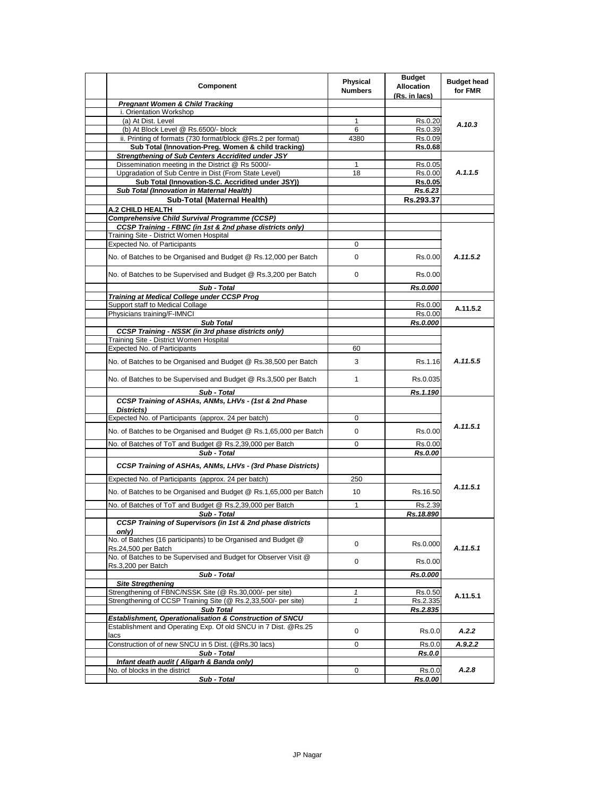| Component                                                                                            | <b>Physical</b><br><b>Numbers</b> | <b>Budget</b><br><b>Allocation</b><br>(Rs. in lacs) | <b>Budget head</b><br>for FMR |
|------------------------------------------------------------------------------------------------------|-----------------------------------|-----------------------------------------------------|-------------------------------|
| <b>Pregnant Women &amp; Child Tracking</b>                                                           |                                   |                                                     |                               |
| i. Orientation Workshop                                                                              |                                   |                                                     |                               |
| (a) At Dist. Level                                                                                   | 1                                 | Rs.0.20                                             | A.10.3                        |
| (b) At Block Level @ Rs.6500/- block                                                                 | 6                                 | Rs.0.39                                             |                               |
| ii. Printing of formats (730 format/block @Rs.2 per format)                                          | 4380                              | Rs.0.09                                             |                               |
| Sub Total (Innovation-Preg. Women & child tracking)                                                  |                                   | <b>Rs.0.68</b>                                      |                               |
| <b>Strengthening of Sub Centers Accridited under JSY</b>                                             |                                   |                                                     |                               |
| Dissemination meeting in the District @ Rs 5000/-                                                    | $\mathbf{1}$                      | Rs.0.05                                             |                               |
| Upgradation of Sub Centre in Dist (From State Level)                                                 | 18                                | Rs.0.00                                             | A.1.1.5                       |
| Sub Total (Innovation-S.C. Accridited under JSY))                                                    |                                   | <b>Rs.0.05</b>                                      |                               |
| Sub Total (Innovation in Maternal Health)                                                            |                                   | Rs.6.23                                             |                               |
| Sub-Total (Maternal Health)                                                                          |                                   | Rs.293.37                                           |                               |
| A.2 CHILD HEALTH                                                                                     |                                   |                                                     |                               |
| <b>Comprehensive Child Survival Programme (CCSP)</b>                                                 |                                   |                                                     |                               |
| CCSP Training - FBNC (in 1st & 2nd phase districts only)                                             |                                   |                                                     |                               |
| Training Site - District Women Hospital<br><b>Expected No. of Participants</b>                       | 0                                 |                                                     |                               |
|                                                                                                      |                                   |                                                     |                               |
| No. of Batches to be Organised and Budget @ Rs.12,000 per Batch                                      | 0                                 | Rs.0.00                                             | A.11.5.2                      |
| No. of Batches to be Supervised and Budget @ Rs.3,200 per Batch                                      | 0                                 | Rs.0.00                                             |                               |
| Sub - Total                                                                                          |                                   | Rs.0.000                                            |                               |
| <b>Training at Medical College under CCSP Prog</b>                                                   |                                   |                                                     |                               |
| Support staff to Medical Collage                                                                     |                                   | Rs.0.00                                             | A.11.5.2                      |
| Physicians training/F-IMNCI                                                                          |                                   | Rs.0.00                                             |                               |
| <b>Sub Total</b>                                                                                     |                                   | Rs.0.000                                            |                               |
| <b>CCSP Training - NSSK (in 3rd phase districts only)</b><br>Training Site - District Women Hospital |                                   |                                                     |                               |
| <b>Expected No. of Participants</b>                                                                  | 60                                |                                                     | A.11.5.5                      |
|                                                                                                      |                                   |                                                     |                               |
| No. of Batches to be Organised and Budget @ Rs.38,500 per Batch                                      | 3                                 | Rs.1.16                                             |                               |
| No. of Batches to be Supervised and Budget @ Rs.3,500 per Batch                                      | $\mathbf{1}$                      | Rs.0.035                                            |                               |
| Sub - Total                                                                                          |                                   | Rs.1.190                                            |                               |
| CCSP Training of ASHAs, ANMs, LHVs - (1st & 2nd Phase<br>Districts)                                  |                                   |                                                     |                               |
| Expected No. of Participants (approx. 24 per batch)                                                  | 0                                 |                                                     |                               |
| No. of Batches to be Organised and Budget @ Rs.1,65,000 per Batch                                    | 0                                 | Rs.0.00                                             | A.11.5.1                      |
| No. of Batches of ToT and Budget @ Rs.2,39,000 per Batch                                             | 0                                 | Rs.0.00                                             |                               |
| Sub - Total<br>CCSP Training of ASHAs, ANMs, LHVs - (3rd Phase Districts)                            |                                   | Rs.0.00                                             |                               |
| Expected No. of Participants (approx. 24 per batch)                                                  | 250                               |                                                     |                               |
| No. of Batches to be Organised and Budget @ Rs.1,65,000 per Batch                                    | 10                                | Rs.16.50                                            | A.11.5.1                      |
| No. of Batches of ToT and Budget @ Rs.2,39,000 per Batch                                             | $\mathbf{1}$                      | Rs.2.39                                             |                               |
| Sub - Total                                                                                          |                                   | Rs.18.890                                           |                               |
| <b>CCSP Training of Supervisors (in 1st &amp; 2nd phase districts</b><br>only)                       |                                   |                                                     |                               |
| No. of Batches (16 participants) to be Organised and Budget @<br>Rs.24,500 per Batch                 | 0                                 | Rs.0.000                                            | A.11.5.1                      |
| No. of Batches to be Supervised and Budget for Observer Visit @<br>Rs.3,200 per Batch                | 0                                 | Rs.0.00                                             |                               |
| Sub - Total                                                                                          |                                   | Rs.0.000                                            |                               |
| <b>Site Stregthening</b>                                                                             |                                   |                                                     |                               |
| Strengthening of FBNC/NSSK Site (@ Rs.30,000/- per site)                                             | 1                                 | Rs.0.50                                             |                               |
| Strengthening of CCSP Training Site (@ Rs.2,33,500/- per site)                                       | $\mathbf{1}$                      | Rs.2.335                                            | A.11.5.1                      |
| <b>Sub Total</b>                                                                                     |                                   | Rs.2.835                                            |                               |
| Establishment, Operationalisation & Construction of SNCU                                             |                                   |                                                     |                               |
| Establishment and Operating Exp. Of old SNCU in 7 Dist. @Rs.25<br>lacs                               | 0                                 | Rs.0.0                                              | A.2.2                         |
| Construction of of new SNCU in 5 Dist. (@Rs.30 lacs)                                                 | 0                                 | Rs.0.0                                              | A.9.2.2                       |
| Sub - Total                                                                                          |                                   | <b>Rs.0.0</b>                                       |                               |
| Infant death audit (Aligarh & Banda only)                                                            |                                   |                                                     |                               |
| No. of blocks in the district                                                                        | 0                                 | Rs.0.0                                              | A.2.8                         |
| Sub - Total                                                                                          |                                   | Rs.0.00                                             |                               |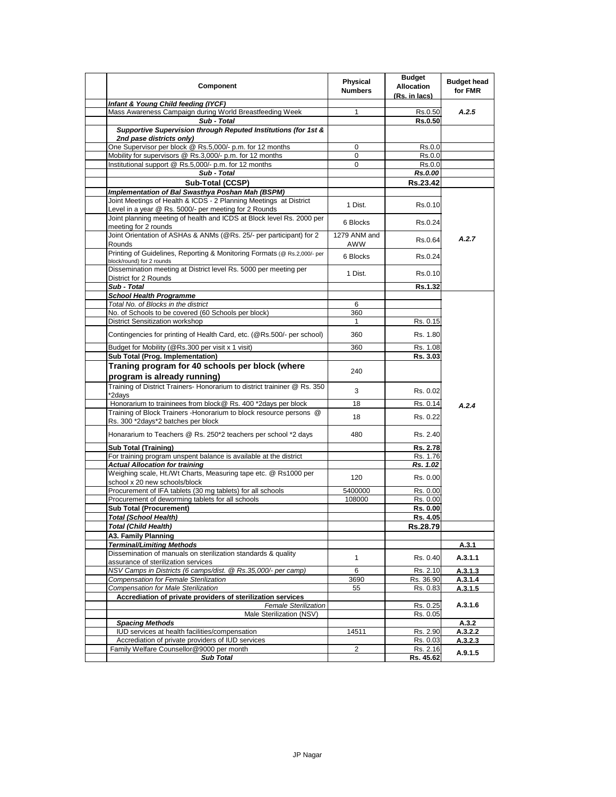| Component                                                                                                                  | Physical<br><b>Numbers</b> | <b>Budget</b><br><b>Allocation</b><br>(Rs. in lacs) | <b>Budget head</b><br>for FMR |
|----------------------------------------------------------------------------------------------------------------------------|----------------------------|-----------------------------------------------------|-------------------------------|
| Infant & Young Child feeding (IYCF)                                                                                        |                            |                                                     |                               |
| Mass Awareness Campaign during World Breastfeeding Week                                                                    | 1                          | Rs.0.50                                             | A.2.5                         |
| Sub - Total                                                                                                                |                            | <b>Rs.0.50</b>                                      |                               |
| Supportive Supervision through Reputed Institutions (for 1st &<br>2nd pase districts only)                                 |                            |                                                     |                               |
| One Supervisor per block @ Rs.5,000/- p.m. for 12 months                                                                   | 0                          | Rs.0.0                                              |                               |
| Mobility for supervisors @ Rs.3,000/- p.m. for 12 months                                                                   | 0                          | Rs.0.0                                              |                               |
| Institutional support @ Rs.5,000/- p.m. for 12 months                                                                      | $\mathbf 0$                | Rs.0.0                                              |                               |
| Sub - Total                                                                                                                |                            | Rs.0.00                                             |                               |
| Sub-Total (CCSP)                                                                                                           |                            | Rs.23.42                                            |                               |
| Implementation of Bal Swasthya Poshan Mah (BSPM)                                                                           |                            |                                                     |                               |
| Joint Meetings of Health & ICDS - 2 Planning Meetings at District<br>Level in a year @ Rs. 5000/- per meeting for 2 Rounds | 1 Dist.                    | Rs.0.10                                             |                               |
| Joint planning meeting of health and ICDS at Block level Rs. 2000 per<br>meeting for 2 rounds                              | 6 Blocks                   | Rs.0.24                                             |                               |
| Joint Orientation of ASHAs & ANMs (@Rs. 25/- per participant) for 2<br>Rounds                                              | 1279 ANM and<br>AWW        | Rs.0.64                                             | A.2.7                         |
| Printing of Guidelines, Reporting & Monitoring Formats (@ Rs.2,000/- per<br>block/round) for 2 rounds                      | 6 Blocks                   | Rs.0.24                                             |                               |
| Dissemination meeting at District level Rs. 5000 per meeting per<br>District for 2 Rounds                                  | 1 Dist.                    | Rs.0.10                                             |                               |
| Sub - Total                                                                                                                |                            | Rs.1.32                                             |                               |
| <b>School Health Programme</b>                                                                                             |                            |                                                     |                               |
| Total No. of Blocks in the district                                                                                        | 6                          |                                                     |                               |
| No. of Schools to be covered (60 Schools per block)                                                                        | 360                        |                                                     |                               |
| <b>District Sensitization workshop</b>                                                                                     | $\mathbf{1}$               | Rs. 0.15                                            |                               |
| Contingencies for printing of Health Card, etc. (@Rs.500/- per school)                                                     | 360                        | Rs. 1.80                                            |                               |
| Budget for Mobility (@Rs.300 per visit x 1 visit)                                                                          | 360                        | Rs. 1.08                                            |                               |
| Sub Total (Prog. Implementation)                                                                                           |                            | Rs. 3.03                                            |                               |
| Traning program for 40 schools per block (where<br>program is already running)                                             | 240                        |                                                     |                               |
| Training of District Trainers- Honorarium to district traininer @ Rs. 350<br>*2days                                        | 3                          | Rs. 0.02                                            |                               |
| Honorarium to traininees from block@ Rs. 400 *2days per block                                                              | 18                         | Rs. 0.14                                            | A.2.4                         |
| Training of Block Trainers - Honorarium to block resource persons @<br>Rs. 300 *2days*2 batches per block                  | 18                         | Rs. 0.22                                            |                               |
| Honararium to Teachers @ Rs. 250*2 teachers per school *2 days                                                             | 480                        | Rs. 2.40                                            |                               |
| <b>Sub Total (Training)</b>                                                                                                |                            | Rs. 2.78                                            |                               |
| For training program unspent balance is available at the district                                                          |                            | Rs. 1.76                                            |                               |
| <b>Actual Allocation for training</b>                                                                                      |                            | Rs. 1.02                                            |                               |
| Weighing scale, Ht./Wt Charts, Measuring tape etc. @ Rs1000 per<br>school x 20 new schools/block                           | 120                        | Rs. 0.00                                            |                               |
| Procurement of IFA tablets (30 mg tablets) for all schools                                                                 | 5400000                    | Rs. 0.00                                            |                               |
| Procurement of deworming tablets for all schools                                                                           | 108000                     | Rs. 0.00                                            |                               |
| <b>Sub Total (Procurement)</b>                                                                                             |                            | Rs. 0.00                                            |                               |
| <b>Total (School Health)</b>                                                                                               |                            | Rs. 4.05                                            |                               |
| <b>Total (Child Health)</b>                                                                                                |                            | Rs.28.79                                            |                               |
| A3. Family Planning                                                                                                        |                            |                                                     |                               |
| <b>Terminal/Limiting Methods</b>                                                                                           |                            |                                                     | A.3.1                         |
| Dissemination of manuals on sterilization standards & quality<br>assurance of sterilization services                       | $\mathbf{1}$               | Rs. 0.40                                            | A.3.1.1                       |
| NSV Camps in Districts (6 camps/dist. @ Rs.35,000/- per camp)                                                              | 6                          | Rs. 2.10                                            | A.3.1.3                       |
| Compensation for Female Sterilization                                                                                      | 3690                       | Rs. 36.90                                           | A.3.1.4                       |
| Compensation for Male Sterilization                                                                                        | 55                         | Rs. 0.83                                            | A.3.1.5                       |
| Accrediation of private providers of sterilization services                                                                |                            |                                                     |                               |
| <b>Female Sterilization</b>                                                                                                |                            | Rs. 0.25                                            | A.3.1.6                       |
| Male Sterilization (NSV)                                                                                                   |                            | Rs. 0.05                                            |                               |
| <b>Spacing Methods</b>                                                                                                     |                            |                                                     | A.3.2                         |
| IUD services at health facilities/compensation                                                                             | 14511                      | Rs. 2.90                                            | A.3.2.2                       |
| Accrediation of private providers of IUD services                                                                          |                            | Rs. 0.03                                            | A.3.2.3                       |
| Family Welfare Counsellor@9000 per month                                                                                   | $\overline{2}$             | Rs. 2.16                                            | A.9.1.5                       |
| <b>Sub Total</b>                                                                                                           |                            | Rs. 45.62                                           |                               |
|                                                                                                                            |                            |                                                     |                               |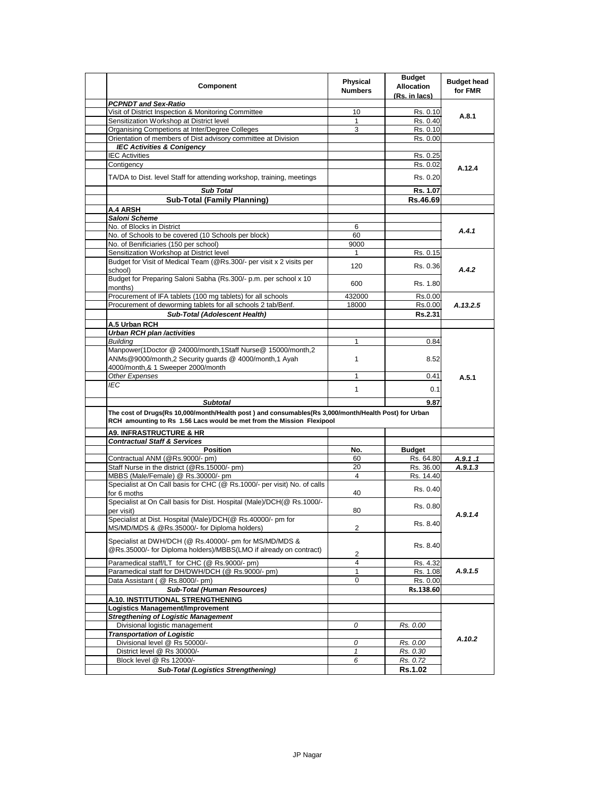| Component                                                                                                                   | Physical<br><b>Numbers</b> | <b>Budget</b><br><b>Allocation</b><br>(Rs. in lacs) | <b>Budget head</b><br>for FMR |
|-----------------------------------------------------------------------------------------------------------------------------|----------------------------|-----------------------------------------------------|-------------------------------|
| <b>PCPNDT and Sex-Ratio</b>                                                                                                 |                            |                                                     |                               |
| Visit of District Inspection & Monitoring Committee                                                                         | 10                         | Rs. 0.10                                            | A.8.1                         |
| Sensitization Workshop at District level                                                                                    | $\mathbf{1}$               | Rs. 0.40                                            |                               |
| Organising Competions at Inter/Degree Colleges                                                                              | 3                          | Rs. 0.10                                            |                               |
| Orientation of members of Dist advisory committee at Division                                                               |                            | Rs. 0.00                                            |                               |
| <b>IEC Activities &amp; Conigency</b>                                                                                       |                            |                                                     |                               |
| <b>IEC Activities</b><br>Contigency                                                                                         |                            | Rs. 0.25<br>Rs. 0.02                                |                               |
|                                                                                                                             |                            |                                                     | A.12.4                        |
| TA/DA to Dist. level Staff for attending workshop, training, meetings                                                       |                            | Rs. 0.20                                            |                               |
| <b>Sub Total</b>                                                                                                            |                            | Rs. 1.07                                            |                               |
| <b>Sub-Total (Family Planning)</b>                                                                                          |                            | Rs.46.69                                            |                               |
| A.4 ARSH                                                                                                                    |                            |                                                     |                               |
| Saloni Scheme                                                                                                               |                            |                                                     |                               |
| No. of Blocks in District                                                                                                   | 6                          |                                                     | A.4.1                         |
| No. of Schools to be covered (10 Schools per block)                                                                         | 60                         |                                                     |                               |
| No. of Benificiaries (150 per school)                                                                                       | 9000                       |                                                     |                               |
| Sensitization Workshop at District level<br>Budget for Visit of Medical Team (@Rs.300/- per visit x 2 visits per            | 1                          | Rs. 0.15                                            |                               |
| school)                                                                                                                     | 120                        | Rs. 0.36                                            | A.4.2                         |
| Budget for Preparing Saloni Sabha (Rs.300/- p.m. per school x 10<br>months)                                                 | 600                        | Rs. 1.80                                            |                               |
| Procurement of IFA tablets (100 mg tablets) for all schools                                                                 | 432000                     | Rs.0.00                                             |                               |
| Procurement of deworming tablets for all schools 2 tab/Benf.                                                                | 18000                      | Rs.0.00                                             | A.13.2.5                      |
| Sub-Total (Adolescent Health)                                                                                               |                            | Rs.2.31                                             |                               |
| A.5 Urban RCH                                                                                                               |                            |                                                     |                               |
| <b>Urban RCH plan /activities</b>                                                                                           |                            |                                                     |                               |
| <b>Building</b>                                                                                                             | $\mathbf{1}$               | 0.84                                                |                               |
| Manpower(1Doctor @ 24000/month,1Staff Nurse@ 15000/month,2                                                                  |                            |                                                     |                               |
| ANMs@9000/month,2 Security guards @ 4000/month,1 Ayah                                                                       | $\mathbf{1}$               | 8.52                                                |                               |
| 4000/month,& 1 Sweeper 2000/month                                                                                           |                            |                                                     |                               |
| Other Expenses                                                                                                              | 1                          | 0.41                                                | A.5.1                         |
| IEC                                                                                                                         | $\mathbf{1}$               | 0.1                                                 |                               |
| <b>Subtotal</b>                                                                                                             |                            |                                                     |                               |
|                                                                                                                             |                            | 9.87                                                |                               |
| The cost of Drugs(Rs 10,000/month/Health post) and consumables(Rs 3,000/month/Health Post) for Urban                        |                            |                                                     |                               |
| RCH amounting to Rs 1.56 Lacs would be met from the Mission Flexipool                                                       |                            |                                                     |                               |
| <b>A9. INFRASTRUCTURE &amp; HR</b>                                                                                          |                            |                                                     |                               |
| <b>Contractual Staff &amp; Services</b>                                                                                     |                            |                                                     |                               |
| <b>Position</b>                                                                                                             | No.                        | <b>Budget</b>                                       |                               |
| Contractual ANM (@Rs.9000/- pm)                                                                                             | 60                         | Rs. 64.80                                           | A.9.1 .1                      |
| Staff Nurse in the district (@Rs.15000/- pm)                                                                                | 20<br>4                    | Rs. 36.00                                           | A.9.1.3                       |
| MBBS (Male/Female) @ Rs.30000/- pm                                                                                          |                            | Rs. 14.40                                           |                               |
| Specialist at On Call basis for CHC (@ Rs.1000/- per visit) No. of calls<br>for 6 moths                                     | 40                         | Rs. 0.40                                            |                               |
| Specialist at On Call basis for Dist. Hospital (Male)/DCH(@ Rs.1000/-<br>per visit)                                         | 80                         | Rs. 0.80                                            |                               |
| Specialist at Dist. Hospital (Male)/DCH(@ Rs.40000/- pm for                                                                 |                            |                                                     | A.9.1.4                       |
| MS/MD/MDS & @Rs.35000/- for Diploma holders)                                                                                | 2                          | Rs. 8.40                                            |                               |
|                                                                                                                             |                            |                                                     |                               |
| Specialist at DWH/DCH (@ Rs.40000/- pm for MS/MD/MDS &<br>@Rs.35000/- for Diploma holders)/MBBS(LMO if already on contract) |                            | Rs. 8.40                                            |                               |
|                                                                                                                             | 2                          |                                                     |                               |
| Paramedical staff/LT for CHC (@ Rs.9000/- pm)                                                                               | 4<br>1                     | Rs. 4.32                                            |                               |
| Paramedical staff for DH/DWH/DCH (@ Rs.9000/- pm)                                                                           |                            | Rs. 1.08                                            | A.9.1.5                       |
| Data Assistant ( @ Rs.8000/- pm)                                                                                            | 0                          | Rs. 0.00                                            |                               |
| <b>Sub-Total (Human Resources)</b>                                                                                          |                            | Rs.138.60                                           |                               |
| A.10. INSTITUTIONAL STRENGTHENING                                                                                           |                            |                                                     |                               |
| Logistics Management/Improvement                                                                                            |                            |                                                     |                               |
| <b>Stregthening of Logistic Management</b>                                                                                  | 0                          |                                                     |                               |
| Divisional logistic management                                                                                              |                            | Rs. 0.00                                            |                               |
| <b>Transportation of Logistic</b><br>Divisional level @ Rs 50000/-                                                          | 0                          | Rs. 0.00                                            | A.10.2                        |
| District level @ Rs 30000/-                                                                                                 | 1                          | Rs. 0.30                                            |                               |
| Block level @ Rs 12000/-                                                                                                    | 6                          | Rs. 0.72                                            |                               |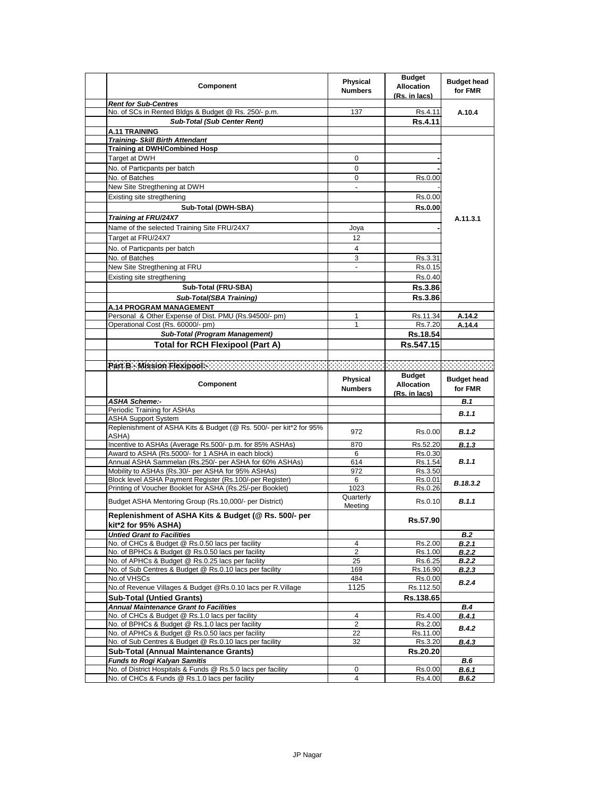| <b>Component</b>                                                                                                      | Physical<br><b>Numbers</b> | <b>Budget</b><br><b>Allocation</b><br>(Rs. in lacs) | <b>Budget head</b><br>for FMR |
|-----------------------------------------------------------------------------------------------------------------------|----------------------------|-----------------------------------------------------|-------------------------------|
| <b>Rent for Sub-Centres</b>                                                                                           |                            |                                                     |                               |
| No. of SCs in Rented Bldgs & Budget @ Rs. 250/- p.m.                                                                  | 137                        | Rs.4.11                                             | A.10.4                        |
| <b>Sub-Total (Sub Center Rent)</b>                                                                                    |                            | Rs.4.11                                             |                               |
| <b>A.11 TRAINING</b>                                                                                                  |                            |                                                     |                               |
| <b>Training- Skill Birth Attendant</b>                                                                                |                            |                                                     |                               |
| <b>Training at DWH/Combined Hosp</b><br>Target at DWH                                                                 | 0                          |                                                     |                               |
|                                                                                                                       |                            |                                                     |                               |
| No. of Particpants per batch                                                                                          | 0                          |                                                     |                               |
| No. of Batches                                                                                                        | 0                          | Rs.0.00                                             |                               |
| New Site Stregthening at DWH                                                                                          | ÷,                         |                                                     |                               |
| Existing site stregthening                                                                                            |                            | Rs.0.00                                             |                               |
| Sub-Total (DWH-SBA)                                                                                                   |                            | <b>Rs.0.00</b>                                      |                               |
| Training at FRU/24X7                                                                                                  |                            |                                                     | A.11.3.1                      |
| Name of the selected Training Site FRU/24X7                                                                           | Joya                       |                                                     |                               |
| Target at FRU/24X7                                                                                                    | 12                         |                                                     |                               |
| No. of Particpants per batch                                                                                          | 4                          |                                                     |                               |
| No. of Batches                                                                                                        | 3                          | Rs.3.31                                             |                               |
| New Site Stregthening at FRU                                                                                          | $\frac{1}{2}$              | Rs.0.15                                             |                               |
| Existing site stregthening                                                                                            |                            | Rs.0.40                                             |                               |
| Sub-Total (FRU-SBA)                                                                                                   |                            | <b>Rs.3.86</b>                                      |                               |
| <b>Sub-Total(SBA Training)</b>                                                                                        |                            | <b>Rs.3.86</b>                                      |                               |
| A.14 PROGRAM MANAGEMENT                                                                                               |                            |                                                     |                               |
| Personal & Other Expense of Dist. PMU (Rs.94500/- pm)                                                                 | 1                          | Rs.11.34                                            | A.14.2                        |
| Operational Cost (Rs. 60000/- pm)                                                                                     | 1                          | Rs.7.20                                             | A.14.4                        |
| Sub-Total (Program Management)                                                                                        |                            | Rs.18.54                                            |                               |
| <b>Total for RCH Flexipool (Part A)</b>                                                                               |                            | Rs.547.15                                           |                               |
|                                                                                                                       |                            |                                                     |                               |
|                                                                                                                       |                            |                                                     |                               |
|                                                                                                                       |                            | <b>Budget</b>                                       |                               |
|                                                                                                                       | Physical                   |                                                     |                               |
| <b>Component</b>                                                                                                      |                            |                                                     | <b>Budget head</b>            |
|                                                                                                                       | <b>Numbers</b>             | <b>Allocation</b><br>(Rs. in lacs)                  | for FMR                       |
| <b>ASHA Scheme:-</b>                                                                                                  |                            |                                                     | <b>B.1</b>                    |
| Periodic Training for ASHAs                                                                                           |                            |                                                     |                               |
| <b>ASHA Support System</b>                                                                                            |                            |                                                     | B.1.1                         |
| Replenishment of ASHA Kits & Budget (@ Rs. 500/- per kit*2 for 95%                                                    | 972                        | Rs.0.00                                             | <b>B.1.2</b>                  |
| ASHA)                                                                                                                 |                            |                                                     |                               |
| Incentive to ASHAs (Average Rs.500/- p.m. for 85% ASHAs)                                                              | 870                        | Rs.52.20                                            | <b>B.1.3</b>                  |
| Award to ASHA (Rs.5000/- for 1 ASHA in each block)                                                                    | 6                          | Rs.0.30                                             |                               |
| Annual ASHA Sammelan (Rs.250/- per ASHA for 60% ASHAs)                                                                | 614                        | Rs.1.54                                             | B.1.1                         |
| Mobility to ASHAs (Rs.30/- per ASHA for 95% ASHAs)                                                                    | 972<br>6                   | Rs.3.50<br>Rs.0.01                                  |                               |
| Block level ASHA Payment Register (Rs.100/-per Register)<br>Printing of Voucher Booklet for ASHA (Rs.25/-per Booklet) | 1023                       | Rs.0.26                                             | B.18.3.2                      |
|                                                                                                                       | Quarterly                  |                                                     |                               |
| Budget ASHA Mentoring Group (Rs.10,000/- per District)                                                                | Meeting                    | Rs.0.10                                             | B.1.1                         |
| Replenishment of ASHA Kits & Budget (@ Rs. 500/- per                                                                  |                            |                                                     |                               |
| kit*2 for 95% ASHA)                                                                                                   |                            | Rs.57.90                                            |                               |
| <b>Untied Grant to Facilities</b>                                                                                     |                            |                                                     | B.2                           |
| No. of CHCs & Budget @ Rs.0.50 lacs per facility                                                                      | 4                          | Rs.2.00                                             | B.2.1                         |
| No. of BPHCs & Budget @ Rs.0.50 lacs per facility                                                                     | $\overline{2}$             | Rs.1.00                                             | B.2.2                         |
| No. of APHCs & Budget @ Rs.0.25 lacs per facility                                                                     | 25                         | Rs.6.25                                             | <b>B.2.2</b>                  |
| No. of Sub Centres & Budget @ Rs.0.10 lacs per facility                                                               | 169                        | Rs.16.90                                            | <b>B.2.3</b>                  |
| No.of VHSCs                                                                                                           | 484                        | Rs.0.00                                             | B.2.4                         |
| No.of Revenue Villages & Budget @Rs.0.10 lacs per R.Village                                                           | 1125                       | Rs.112.50                                           |                               |
| <b>Sub-Total (Untied Grants)</b>                                                                                      |                            | Rs.138.65                                           |                               |
| <b>Annual Maintenance Grant to Facilities</b>                                                                         |                            |                                                     | B.4                           |
| No. of CHCs & Budget @ Rs.1.0 lacs per facility                                                                       | 4                          | Rs.4.00                                             | B.4.1                         |
| No. of BPHCs & Budget @ Rs.1.0 lacs per facility                                                                      | $\overline{2}$             | Rs.2.00                                             | <b>B.4.2</b>                  |
| No. of APHCs & Budget @ Rs.0.50 lacs per facility<br>No. of Sub Centres & Budget @ Rs.0.10 lacs per facility          | 22<br>32                   | Rs.11.00<br>Rs.3.20                                 | B.4.3                         |
| <b>Sub-Total (Annual Maintenance Grants)</b>                                                                          |                            |                                                     |                               |
| <b>Funds to Rogi Kalyan Samitis</b>                                                                                   |                            | Rs.20.20                                            | B.6                           |
| No. of District Hospitals & Funds @ Rs.5.0 lacs per facility                                                          | 0                          | Rs.0.00                                             | B.6.1                         |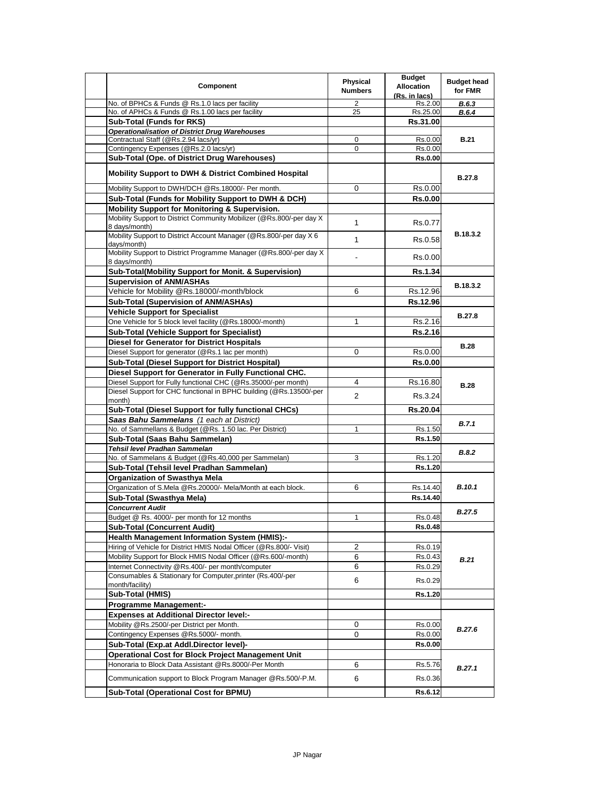| Component                                                                                        | Physical<br><b>Numbers</b> | <b>Budget</b><br><b>Allocation</b><br>(Rs. in lacs) | <b>Budget head</b><br>for FMR |
|--------------------------------------------------------------------------------------------------|----------------------------|-----------------------------------------------------|-------------------------------|
| No. of BPHCs & Funds @ Rs.1.0 lacs per facility                                                  | 2                          | Rs.2.00                                             | <b>B.6.3</b>                  |
| No. of APHCs & Funds @ Rs.1.00 lacs per facility                                                 | 25                         | Rs.25.00                                            | B.6.4                         |
| <b>Sub-Total (Funds for RKS)</b>                                                                 |                            | Rs.31.00                                            |                               |
| <b>Operationalisation of District Drug Warehouses</b>                                            |                            |                                                     |                               |
| Contractual Staff (@Rs.2.94 lacs/yr)                                                             | 0<br>$\Omega$              | Rs.0.00                                             | <b>B.21</b>                   |
| Contingency Expenses (@Rs.2.0 lacs/yr)<br>Sub-Total (Ope. of District Drug Warehouses)           |                            | Rs.0.00<br><b>Rs.0.00</b>                           |                               |
|                                                                                                  |                            |                                                     |                               |
| <b>Mobility Support to DWH &amp; District Combined Hospital</b>                                  |                            |                                                     | <b>B.27.8</b>                 |
| Mobility Support to DWH/DCH @Rs.18000/- Per month.                                               | 0                          | Rs.0.00                                             |                               |
| Sub-Total (Funds for Mobility Support to DWH & DCH)                                              |                            | <b>Rs.0.00</b>                                      |                               |
| <b>Mobility Support for Monitoring &amp; Supervision.</b>                                        |                            |                                                     |                               |
| Mobility Support to District Community Mobilizer (@Rs.800/-per day X)<br>8 days/month)           | $\mathbf{1}$               | Rs.0.77                                             |                               |
| Mobility Support to District Account Manager (@Rs.800/-per day X 6<br>days/month)                | $\mathbf{1}$               | Rs.0.58                                             | B.18.3.2                      |
| Mobility Support to District Programme Manager (@Rs.800/-per day X)<br>8 days/month)             |                            | Rs.0.00                                             |                               |
| Sub-Total(Mobility Support for Monit. & Supervision)                                             |                            | <b>Rs.1.34</b>                                      |                               |
| <b>Supervision of ANM/ASHAs</b>                                                                  |                            |                                                     | B.18.3.2                      |
| Vehicle for Mobility @Rs.18000/-month/block                                                      | 6                          | Rs.12.96                                            |                               |
| Sub-Total (Supervision of ANM/ASHAs)                                                             |                            | Rs.12.96                                            |                               |
| <b>Vehicle Support for Specialist</b>                                                            |                            |                                                     | <b>B.27.8</b>                 |
| One Vehicle for 5 block level facility (@Rs.18000/-month)                                        | 1                          | Rs.2.16                                             |                               |
| <b>Sub-Total (Vehicle Support for Specialist)</b>                                                |                            | Rs.2.16                                             |                               |
| <b>Diesel for Generator for District Hospitals</b>                                               |                            |                                                     |                               |
| Diesel Support for generator (@Rs.1 lac per month)                                               | 0                          | Rs.0.00                                             | <b>B.28</b>                   |
| <b>Sub-Total (Diesel Support for District Hospital)</b>                                          |                            | <b>Rs.0.00</b>                                      |                               |
| Diesel Support for Generator in Fully Functional CHC.                                            |                            |                                                     |                               |
| Diesel Support for Fully functional CHC (@Rs.35000/-per month)                                   | 4                          | Rs.16.80                                            | <b>B.28</b>                   |
| Diesel Support for CHC functional in BPHC building (@Rs.13500/-per                               | $\overline{2}$             | Rs.3.24                                             |                               |
| month)                                                                                           |                            |                                                     |                               |
| Sub-Total (Diesel Support for fully functional CHCs)                                             |                            | Rs.20.04                                            |                               |
| Saas Bahu Sammelans (1 each at District)                                                         |                            |                                                     | <b>B.7.1</b>                  |
| No. of Sammellans & Budget (@Rs. 1.50 lac. Per District)                                         | 1                          | Rs.1.50                                             |                               |
| Sub-Total (Saas Bahu Sammelan)                                                                   |                            | Rs.1.50                                             |                               |
| Tehsil level Pradhan Sammelan                                                                    |                            |                                                     | <b>B.8.2</b>                  |
| No. of Sammelans & Budget (@Rs.40,000 per Sammelan)<br>Sub-Total (Tehsil level Pradhan Sammelan) | 3                          | Rs.1.20<br>Rs.1.20                                  |                               |
| <b>Organization of Swasthya Mela</b>                                                             |                            |                                                     |                               |
| Organization of S.Mela @Rs.20000/- Mela/Month at each block.                                     | 6                          |                                                     | <b>B.10.1</b>                 |
|                                                                                                  |                            | Rs.14.40<br>Rs.14.40                                |                               |
| Sub-Total (Swasthya Mela)<br><b>Concurrent Audit</b>                                             |                            |                                                     |                               |
| Budget @ Rs. 4000/- per month for 12 months                                                      | 1                          | Rs.0.48                                             | <b>B.27.5</b>                 |
| <b>Sub-Total (Concurrent Audit)</b>                                                              |                            | Rs.0.48                                             |                               |
| <b>Health Management Information System (HMIS):-</b>                                             |                            |                                                     |                               |
| Hiring of Vehicle for District HMIS Nodal Officer (@Rs.800/- Visit)                              | 2                          | Rs.0.19                                             |                               |
| Mobility Support for Block HMIS Nodal Officer (@Rs.600/-month)                                   | 6                          | Rs.0.43                                             |                               |
| Internet Connectivity @Rs.400/- per month/computer                                               | 6                          | Rs.0.29                                             | B.21                          |
| Consumables & Stationary for Computer, printer (Rs.400/-per                                      |                            |                                                     |                               |
| month/facility)                                                                                  | 6                          | Rs.0.29                                             |                               |
| Sub-Total (HMIS)                                                                                 |                            | Rs.1.20                                             |                               |
| <b>Programme Management:-</b>                                                                    |                            |                                                     |                               |
| <b>Expenses at Additional Director level:-</b>                                                   |                            |                                                     |                               |
| Mobility @Rs.2500/-per District per Month.                                                       | 0                          | Rs.0.00                                             |                               |
| Contingency Expenses @Rs.5000/- month.                                                           | 0                          | Rs.0.00                                             | <b>B.27.6</b>                 |
| Sub-Total (Exp.at Addl.Director level)-                                                          |                            | <b>Rs.0.00</b>                                      |                               |
| <b>Operational Cost for Block Project Management Unit</b>                                        |                            |                                                     | B.27.1                        |
| Honoraria to Block Data Assistant @Rs.8000/-Per Month                                            | 6                          | Rs.5.76                                             |                               |
| Communication support to Block Program Manager @Rs.500/-P.M.                                     | 6                          | Rs.0.36                                             |                               |
| Sub-Total (Operational Cost for BPMU)                                                            |                            | Rs.6.12                                             |                               |
|                                                                                                  |                            |                                                     |                               |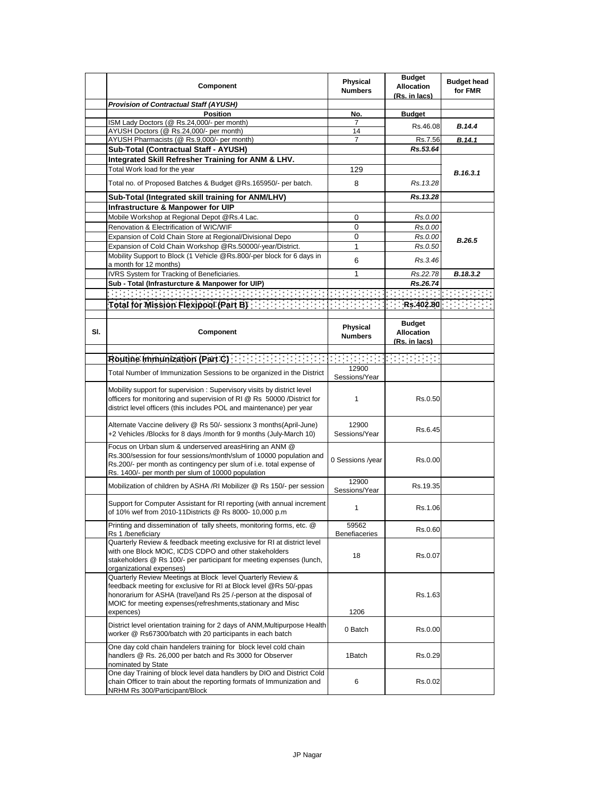|     | Component                                                                                                                                                                                                                                                                                     | <b>Physical</b><br><b>Numbers</b> | <b>Budget</b><br><b>Allocation</b><br>(Rs. in lacs) | <b>Budget head</b><br>for FMR |
|-----|-----------------------------------------------------------------------------------------------------------------------------------------------------------------------------------------------------------------------------------------------------------------------------------------------|-----------------------------------|-----------------------------------------------------|-------------------------------|
|     | <b>Provision of Contractual Staff (AYUSH)</b>                                                                                                                                                                                                                                                 |                                   |                                                     |                               |
|     | <b>Position</b>                                                                                                                                                                                                                                                                               | No.                               | <b>Budget</b>                                       |                               |
|     | ISM Lady Doctors (@ Rs.24,000/- per month)                                                                                                                                                                                                                                                    | 7                                 | Rs.46.08                                            | B.14.4                        |
|     | AYUSH Doctors (@ Rs.24,000/- per month)<br>AYUSH Pharmacists (@ Rs.9,000/- per month)                                                                                                                                                                                                         | 14<br>7                           | Rs.7.56                                             | B.14.1                        |
|     | Sub-Total (Contractual Staff - AYUSH)                                                                                                                                                                                                                                                         |                                   | Rs.53.64                                            |                               |
|     | Integrated Skill Refresher Training for ANM & LHV.                                                                                                                                                                                                                                            |                                   |                                                     |                               |
|     | Total Work load for the year                                                                                                                                                                                                                                                                  | 129                               |                                                     |                               |
|     |                                                                                                                                                                                                                                                                                               |                                   |                                                     | B.16.3.1                      |
|     | Total no. of Proposed Batches & Budget @Rs.165950/- per batch.                                                                                                                                                                                                                                | 8                                 | Rs.13.28                                            |                               |
|     | Sub-Total (Integrated skill training for ANM/LHV)                                                                                                                                                                                                                                             |                                   | Rs.13.28                                            |                               |
|     | Infrastructure & Manpower for UIP                                                                                                                                                                                                                                                             |                                   |                                                     |                               |
|     | Mobile Workshop at Regional Depot @Rs.4 Lac.                                                                                                                                                                                                                                                  | 0                                 | Rs.0.00                                             |                               |
|     | Renovation & Electrification of WIC/WIF                                                                                                                                                                                                                                                       | 0                                 | Rs.0.00                                             |                               |
|     | Expansion of Cold Chain Store at Regional/Divisional Depo                                                                                                                                                                                                                                     | 0                                 | Rs.0.00                                             | B.26.5                        |
|     | Expansion of Cold Chain Workshop @Rs.50000/-year/District.                                                                                                                                                                                                                                    | 1                                 | Rs.0.50                                             |                               |
|     | Mobility Support to Block (1 Vehicle @Rs.800/-per block for 6 days in<br>a month for 12 months)                                                                                                                                                                                               | 6                                 | Rs.3.46                                             |                               |
|     | IVRS System for Tracking of Beneficiaries.                                                                                                                                                                                                                                                    | 1                                 | Rs.22.78                                            | B.18.3.2                      |
|     | Sub - Total (Infrasturcture & Manpower for UIP)                                                                                                                                                                                                                                               |                                   | Rs.26.74                                            |                               |
|     |                                                                                                                                                                                                                                                                                               |                                   |                                                     |                               |
|     | Total for Mission Flexipool (Part B): $\frac{1}{2}$ ( $\frac{1}{2}$ , $\frac{1}{2}$ , $\frac{1}{2}$ , $\frac{1}{2}$ , $\frac{1}{2}$ , $\frac{1}{2}$ , $\frac{1}{2}$ , $\frac{1}{2}$ , $\frac{1}{2}$ , $\frac{1}{2}$ , $\frac{1}{2}$ , $\frac{1}{2}$ , $\frac{1}{2}$ , $\frac{1}{2}$ , $\frac$ |                                   |                                                     |                               |
| SI. | Component                                                                                                                                                                                                                                                                                     | Physical<br><b>Numbers</b>        | <b>Budget</b><br><b>Allocation</b><br>(Rs. in lacs) |                               |
|     |                                                                                                                                                                                                                                                                                               |                                   |                                                     |                               |
|     |                                                                                                                                                                                                                                                                                               | statistica <del>e po</del> r      |                                                     |                               |
|     | Total Number of Immunization Sessions to be organized in the District                                                                                                                                                                                                                         | 12900<br>Sessions/Year            |                                                     |                               |
|     | Mobility support for supervision: Supervisory visits by district level<br>officers for monitoring and supervision of RI @ Rs 50000 /District for<br>district level officers (this includes POL and maintenance) per year                                                                      | 1                                 | Rs.0.50                                             |                               |
|     | Alternate Vaccine delivery @ Rs 50/- sessionx 3 months(April-June)<br>+2 Vehicles /Blocks for 8 days /month for 9 months (July-March 10)                                                                                                                                                      | 12900<br>Sessions/Year            | Rs.6.45                                             |                               |
|     | Focus on Urban slum & underserved areasHiring an ANM @<br>Rs.300/session for four sessions/month/slum of 10000 population and<br>Rs.200/- per month as contingency per slum of i.e. total expense of<br>Rs. 1400/- per month per slum of 10000 population                                     | 0 Sessions /year                  | Rs.0.00                                             |                               |
|     | Mobilization of children by ASHA /RI Mobilizer @ Rs 150/- per session                                                                                                                                                                                                                         | 12900<br>Sessions/Year            | Rs.19.35                                            |                               |
|     | Support for Computer Assistant for RI reporting (with annual increment<br>of 10% wef from 2010-11Districts @ Rs 8000- 10,000 p.m                                                                                                                                                              | 1                                 | Rs.1.06                                             |                               |
|     | Printing and dissemination of tally sheets, monitoring forms, etc. @<br>Rs 1 /beneficiary                                                                                                                                                                                                     | 59562<br><b>Benefiaceries</b>     | Rs.0.60                                             |                               |
|     | Quarterly Review & feedback meeting exclusive for RI at district level<br>with one Block MOIC, ICDS CDPO and other stakeholders<br>stakeholders @ Rs 100/- per participant for meeting expenses (lunch,<br>organizational expenses)                                                           | 18                                | Rs.0.07                                             |                               |
|     | Quarterly Review Meetings at Block level Quarterly Review &<br>feedback meeting for exclusive for RI at Block level @Rs 50/-ppas<br>honorarium for ASHA (travel) and Rs 25 /-person at the disposal of<br>MOIC for meeting expenses (refreshments, stationary and Misc<br>expences)           | 1206                              | Rs.1.63                                             |                               |
|     | District level orientation training for 2 days of ANM, Multipurpose Health<br>worker @ Rs67300/batch with 20 participants in each batch                                                                                                                                                       | 0 Batch                           | Rs.0.00                                             |                               |
|     | One day cold chain handelers training for block level cold chain<br>handlers @ Rs. 26,000 per batch and Rs 3000 for Observer<br>nominated by State                                                                                                                                            | 1Batch                            | Rs.0.29                                             |                               |
|     | One day Training of block level data handlers by DIO and District Cold<br>chain Officer to train about the reporting formats of Immunization and<br>NRHM Rs 300/Participant/Block                                                                                                             | 6                                 | Rs.0.02                                             |                               |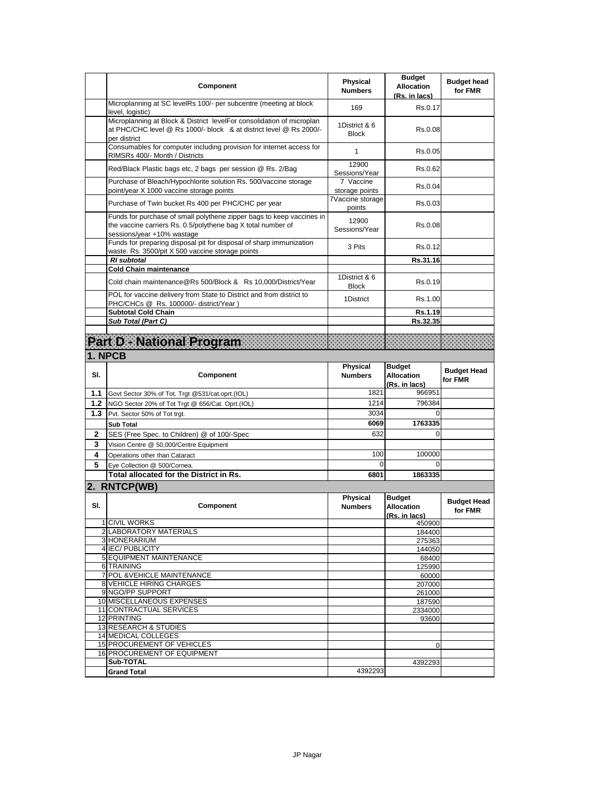|     | Component                                                                                                                                                           | <b>Physical</b><br><b>Numbers</b> | <b>Budget</b><br><b>Allocation</b><br>(Rs. in lacs) | <b>Budget head</b><br>for FMR |
|-----|---------------------------------------------------------------------------------------------------------------------------------------------------------------------|-----------------------------------|-----------------------------------------------------|-------------------------------|
|     | Microplanning at SC levelRs 100/- per subcentre (meeting at block<br>level, logistic)                                                                               | 169                               | Rs.0.17                                             |                               |
|     | Microplanning at Block & District levelFor consolidation of microplan<br>at PHC/CHC level @ Rs 1000/- block & at district level @ Rs 2000/-<br>per district         | 1District & 6<br><b>Block</b>     | Rs.0.08                                             |                               |
|     | Consumables for computer including provision for internet access for<br>RIMSRs 400/- Month / Districts                                                              | 1                                 | Rs.0.05                                             |                               |
|     | Red/Black Plastic bags etc, 2 bags per session @ Rs. 2/Bag                                                                                                          | 12900<br>Sessions/Year            | Rs.0.62                                             |                               |
|     | Purchase of Bleach/Hypochlorite solution Rs. 500/vaccine storage<br>point/year X 1000 vaccine storage points                                                        | 7 Vaccine<br>storage points       | Rs.0.04                                             |                               |
|     | Purchase of Twin bucket Rs 400 per PHC/CHC per year                                                                                                                 | 7Vaccine storage<br>points        | Rs.0.03                                             |                               |
|     | Funds for purchase of small polythene zipper bags to keep vaccines in<br>the vaccine carriers Rs. 0.5/polythene bag X total number of<br>sessions/year +10% wastage | 12900<br>Sessions/Year            | Rs.0.08                                             |                               |
|     | Funds for preparing disposal pit for disposal of sharp immunization<br>waste. Rs. 3500/pit X 500 vaccine storage points                                             | 3 Pits                            | Rs.0.12                                             |                               |
|     | <b>RI</b> subtotal<br><b>Cold Chain maintenance</b>                                                                                                                 |                                   | Rs.31.16                                            |                               |
|     | Cold chain maintenance@Rs 500/Block & Rs 10,000/District/Year                                                                                                       | 1District & 6<br><b>Block</b>     | Rs.0.19                                             |                               |
|     | POL for vaccine delivery from State to District and from district to<br>PHC/CHCs @ Rs. 100000/- district/Year)                                                      | 1District                         | Rs.1.00                                             |                               |
|     | <b>Subtotal Cold Chain</b>                                                                                                                                          |                                   | Rs.1.19                                             |                               |
|     | Sub Total (Part C)                                                                                                                                                  |                                   | Rs.32.35                                            |                               |
|     | Part D. National Program                                                                                                                                            |                                   |                                                     |                               |
|     | 1. NPCB                                                                                                                                                             |                                   |                                                     |                               |
| SI. | Component                                                                                                                                                           | <b>Physical</b><br><b>Numbers</b> | <b>Budget</b><br><b>Allocation</b><br>(Rs. in lacs) | <b>Budget Head</b><br>for FMR |
| 1.1 | Govt Sector 30% of Tot. Trgt @531/cat.oprt.(IOL)                                                                                                                    | 1821                              | 966951                                              |                               |
| 1.2 | NGO Sector 20% of Tot Trgt @ 656/Cat. Oprt.(IOL)                                                                                                                    | 1214                              | 796384                                              |                               |
| 1.3 | Pvt. Sector 50% of Tot trgt.                                                                                                                                        | 3034                              | 0                                                   |                               |
|     | <b>Sub Total</b>                                                                                                                                                    | 6069                              | 1763335                                             |                               |
| 2   | SES (Free Spec. to Children) @ of 100/-Spec                                                                                                                         | 632                               | 0                                                   |                               |
| 3   | Vision Centre @ 50,000/Centre Equipment                                                                                                                             |                                   |                                                     |                               |
| 4   | Operations other than Cataract                                                                                                                                      | 100                               | 100000                                              |                               |
| 5   | Eye Collection @ 500/Cornea.<br>Total allocated for the District in Rs.                                                                                             | 0<br>6801                         | 0<br>1863335                                        |                               |
|     |                                                                                                                                                                     |                                   |                                                     |                               |
|     | 2. RNTCP(WB)                                                                                                                                                        |                                   |                                                     |                               |
| SI. | Component                                                                                                                                                           | <b>Physical</b><br><b>Numbers</b> | <b>Budget</b><br><b>Allocation</b><br>(Rs. in lacs) | <b>Budget Head</b><br>for FMR |
|     | 1 CIVIL WORKS<br>2 LABORATORY MATERIALS                                                                                                                             |                                   | 450900                                              |                               |
|     | 3 HONERARIUM                                                                                                                                                        |                                   | 184400<br>275363                                    |                               |
|     | 4 IEC/ PUBLICITY                                                                                                                                                    |                                   | 144050                                              |                               |
|     | 5 EQUIPMENT MAINTENANCE                                                                                                                                             |                                   | 68400                                               |                               |
|     | 6 TRAINING                                                                                                                                                          |                                   | 125990                                              |                               |
|     | 7 POL & VEHICLE MAINTENANCE<br>8 VEHICLE HIRING CHARGES                                                                                                             |                                   | 60000<br>207000                                     |                               |
|     | 9 NGO/PP SUPPORT                                                                                                                                                    |                                   | 261000                                              |                               |
|     | 10 MISCELLANEOUS EXPENSES                                                                                                                                           |                                   | 187590                                              |                               |
|     | 11 CONTRACTUAL SERVICES<br>12 PRINTING                                                                                                                              |                                   | 2334000<br>93600                                    |                               |
|     | 13 RESEARCH & STUDIES                                                                                                                                               |                                   |                                                     |                               |
|     |                                                                                                                                                                     |                                   |                                                     |                               |
|     | 14 MEDICAL COLLEGES                                                                                                                                                 |                                   |                                                     |                               |
|     | <b>15 PROCUREMENT OF VEHICLES</b>                                                                                                                                   |                                   | 0                                                   |                               |
|     | 16 PROCUREMENT OF EQUIPMENT<br>Sub-TOTAL                                                                                                                            |                                   | 4392293                                             |                               |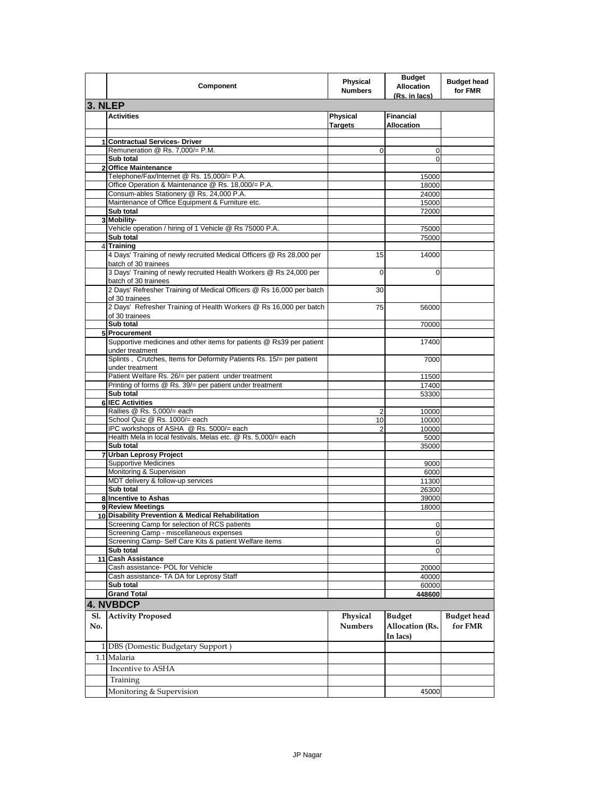|            | Component                                                                                                        | <b>Physical</b><br><b>Numbers</b> | <b>Budget</b><br><b>Allocation</b><br>(Rs. in lacs) | <b>Budget head</b><br>for FMR |
|------------|------------------------------------------------------------------------------------------------------------------|-----------------------------------|-----------------------------------------------------|-------------------------------|
| 3. NLEP    |                                                                                                                  |                                   |                                                     |                               |
|            | <b>Activities</b>                                                                                                | Physical<br><b>Targets</b>        | <b>Financial</b><br><b>Allocation</b>               |                               |
|            | 1 Contractual Services- Driver                                                                                   |                                   |                                                     |                               |
|            | Remuneration @ Rs. 7,000/= P.M.                                                                                  | 0                                 | 0                                                   |                               |
|            | Sub total                                                                                                        |                                   | $\Omega$                                            |                               |
|            | 2 Office Maintenance                                                                                             |                                   |                                                     |                               |
|            | Telephone/Fax/Internet @ Rs. 15,000/= P.A.<br>Office Operation & Maintenance @ Rs. 18,000/= P.A.                 |                                   | 15000<br>18000                                      |                               |
|            | Consum-ables Stationery @ Rs. 24,000 P.A.                                                                        |                                   | 24000                                               |                               |
|            | Maintenance of Office Equipment & Furniture etc.                                                                 |                                   | 15000                                               |                               |
|            | Sub total                                                                                                        |                                   | 72000                                               |                               |
|            | 3 Mobility-                                                                                                      |                                   |                                                     |                               |
|            | Vehicle operation / hiring of 1 Vehicle @ Rs 75000 P.A.<br>Sub total                                             |                                   | 75000<br>75000                                      |                               |
|            | 4 Training                                                                                                       |                                   |                                                     |                               |
|            | 4 Days' Training of newly recruited Medical Officers @ Rs 28,000 per<br>batch of 30 trainees                     | 15                                | 14000                                               |                               |
|            | 3 Days' Training of newly recruited Health Workers @ Rs 24,000 per<br>batch of 30 trainees                       | 0                                 | $\Omega$                                            |                               |
|            | 2 Days' Refresher Training of Medical Officers @ Rs 16,000 per batch<br>of 30 trainees                           | 30                                |                                                     |                               |
|            | 2 Days' Refresher Training of Health Workers @ Rs 16,000 per batch<br>of 30 trainees                             | 75                                | 56000                                               |                               |
|            | Sub total                                                                                                        |                                   | 70000                                               |                               |
|            | 5 Procurement                                                                                                    |                                   |                                                     |                               |
|            | Supportive medicines and other items for patients @ Rs39 per patient<br>under treatment                          |                                   | 17400                                               |                               |
|            | Splints, Crutches, Items for Deformity Patients Rs. 15/= per patient<br>under treatment                          |                                   | 7000                                                |                               |
|            | Patient Welfare Rs. 26/= per patient under treatment<br>Printing of forms @ Rs. 39/= per patient under treatment |                                   | 11500                                               |                               |
|            | Sub total                                                                                                        |                                   | 17400<br>53300                                      |                               |
|            | 6 IEC Activities                                                                                                 |                                   |                                                     |                               |
|            | Rallies @ Rs. 5,000/= each                                                                                       | 2                                 | 10000                                               |                               |
|            | School Quiz @ Rs. 1000/= each                                                                                    | 10                                | 10000                                               |                               |
|            | IPC workshops of ASHA @ Rs. 5000/= each<br>Health Mela in local festivals, Melas etc. @ Rs. 5,000/= each         | 2                                 | 10000<br>5000                                       |                               |
|            | Sub total                                                                                                        |                                   | 35000                                               |                               |
|            | 7 Urban Leprosy Project                                                                                          |                                   |                                                     |                               |
|            | <b>Supportive Medicines</b>                                                                                      |                                   | 9000                                                |                               |
|            | Monitoring & Supervision                                                                                         |                                   | 6000                                                |                               |
|            | MDT delivery & follow-up services<br>Sub total                                                                   |                                   | 11300<br>26300                                      |                               |
|            | 8 Incentive to Ashas                                                                                             |                                   | 39000                                               |                               |
|            | 9 Review Meetings                                                                                                |                                   | 18000                                               |                               |
|            | 10 Disability Prevention & Medical Rehabilitation                                                                |                                   |                                                     |                               |
|            | Screening Camp for selection of RCS patients                                                                     |                                   | U                                                   |                               |
|            | Screening Camp - miscellaneous expenses<br>Screening Camp- Self Care Kits & patient Welfare items                |                                   | 0<br>0                                              |                               |
|            | Sub total                                                                                                        |                                   | 0                                                   |                               |
|            | 11 Cash Assistance                                                                                               |                                   |                                                     |                               |
|            | Cash assistance- POL for Vehicle                                                                                 |                                   | 20000                                               |                               |
|            | Cash assistance- TA DA for Leprosy Staff                                                                         |                                   | 40000                                               |                               |
|            | Sub total<br><b>Grand Total</b>                                                                                  |                                   | 60000<br>448600                                     |                               |
|            | <b>4. NVBDCP</b>                                                                                                 |                                   |                                                     |                               |
| Sl.<br>No. | <b>Activity Proposed</b>                                                                                         | Physical<br><b>Numbers</b>        | <b>Budget</b>                                       | <b>Budget</b> head<br>for FMR |
|            |                                                                                                                  |                                   | Allocation (Rs.<br>In lacs)                         |                               |
|            | 1 DBS (Domestic Budgetary Support)                                                                               |                                   |                                                     |                               |
|            | 1.1 Malaria                                                                                                      |                                   |                                                     |                               |
|            | Incentive to ASHA                                                                                                |                                   |                                                     |                               |
|            | Training                                                                                                         |                                   |                                                     |                               |
|            | Monitoring & Supervision                                                                                         |                                   | 45000                                               |                               |